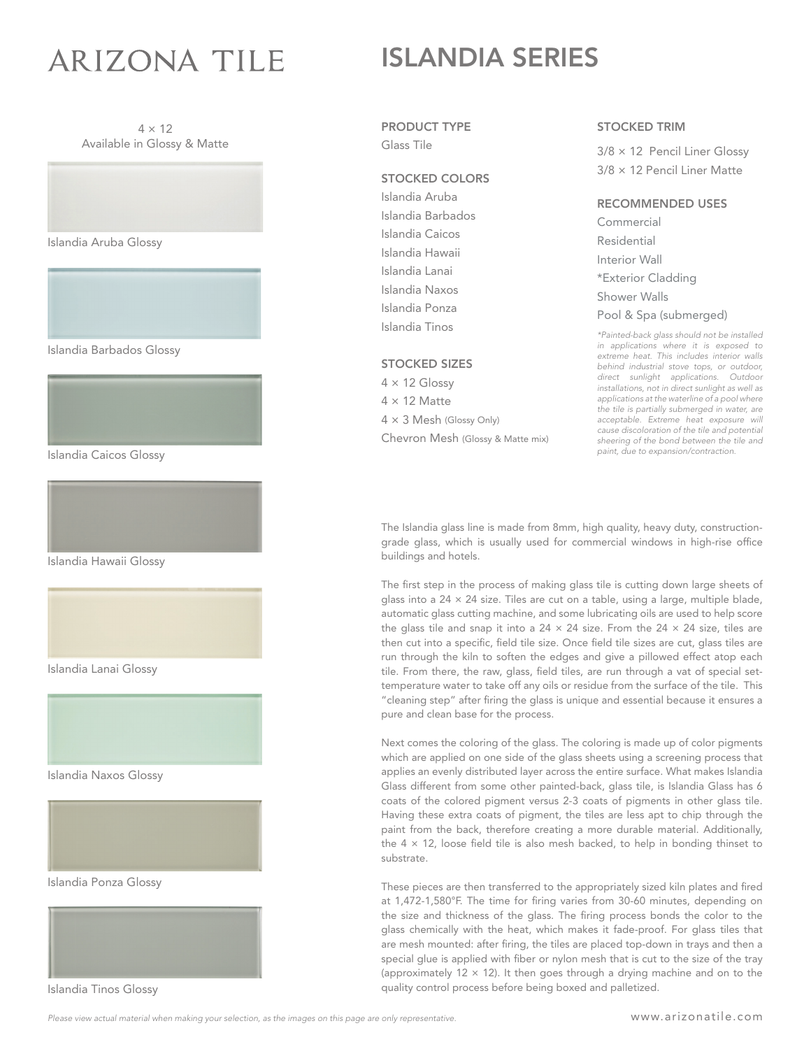# **ARIZONA TILE**

## ISLANDIA SERIES





Islandia Aruba Glossy

Islandia Barbados Glossy



Islandia Caicos Glossy



Islandia Hawaii Glossy





Islandia Naxos Glossy



Islandia Ponza Glossy



Islandia Tinos Glossy

#### PRODUCT TYPE

Glass Tile

#### STOCKED COLORS

Islandia Aruba Islandia Barbados Islandia Caicos Islandia Hawaii Islandia Lanai Islandia Naxos Islandia Ponza Islandia Tinos

#### STOCKED SIZES

 $4 \times 12$  Glossy  $4 \times 12$  Matte  $4 \times 3$  Mesh (Glossy Only) Chevron Mesh (Glossy & Matte mix)

#### STOCKED TRIM

3/8 × 12 Pencil Liner Glossy 3/8 × 12 Pencil Liner Matte

#### RECOMMENDED USES

Commercial Residential Interior Wall \*Exterior Cladding Shower Walls Pool & Spa (submerged)

*\*Painted-back glass should not be installed in applications where it is exposed to extreme heat. This includes interior walls behind industrial stove tops, or outdoor, direct sunlight applications. Outdoor installations, not in direct sunlight as well as applications at the waterline of a pool where the tile is partially submerged in water, are acceptable. Extreme heat exposure will cause discoloration of the tile and potential sheering of the bond between the tile and paint, due to expansion/contraction.* 

The Islandia glass line is made from 8mm, high quality, heavy duty, constructiongrade glass, which is usually used for commercial windows in high-rise office buildings and hotels.

The first step in the process of making glass tile is cutting down large sheets of glass into a  $24 \times 24$  size. Tiles are cut on a table, using a large, multiple blade, automatic glass cutting machine, and some lubricating oils are used to help score the glass tile and snap it into a 24  $\times$  24 size. From the 24  $\times$  24 size, tiles are then cut into a specific, field tile size. Once field tile sizes are cut, glass tiles are run through the kiln to soften the edges and give a pillowed effect atop each tile. From there, the raw, glass, field tiles, are run through a vat of special settemperature water to take off any oils or residue from the surface of the tile. This "cleaning step" after firing the glass is unique and essential because it ensures a pure and clean base for the process.

Next comes the coloring of the glass. The coloring is made up of color pigments which are applied on one side of the glass sheets using a screening process that applies an evenly distributed layer across the entire surface. What makes Islandia Glass different from some other painted-back, glass tile, is Islandia Glass has 6 coats of the colored pigment versus 2-3 coats of pigments in other glass tile. Having these extra coats of pigment, the tiles are less apt to chip through the paint from the back, therefore creating a more durable material. Additionally, the  $4 \times 12$ , loose field tile is also mesh backed, to help in bonding thinset to substrate.

These pieces are then transferred to the appropriately sized kiln plates and fired at 1,472-1,580°F. The time for firing varies from 30-60 minutes, depending on the size and thickness of the glass. The firing process bonds the color to the glass chemically with the heat, which makes it fade-proof. For glass tiles that are mesh mounted: after firing, the tiles are placed top-down in trays and then a special glue is applied with fiber or nylon mesh that is cut to the size of the tray (approximately 12  $\times$  12). It then goes through a drying machine and on to the quality control process before being boxed and palletized.